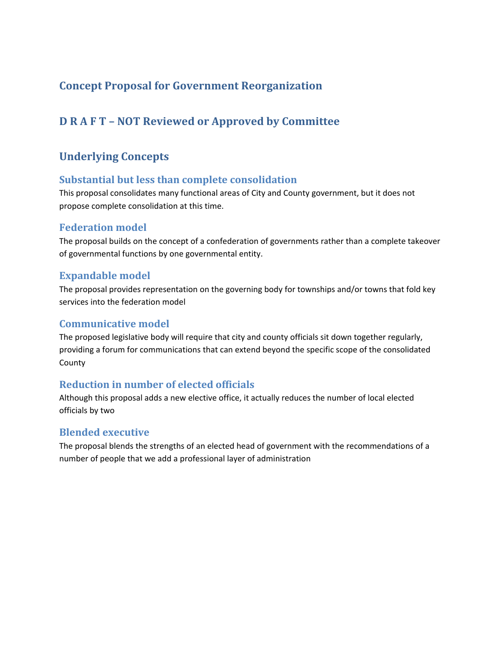# **Concept Proposal for Government Reorganization**

# **D R A F T – NOT Reviewed or Approved by Committee**

# **Underlying Concepts**

## **Substantial but less than complete consolidation**

This proposal consolidates many functional areas of City and County government, but it does not propose complete consolidation at this time.

# **Federation model**

The proposal builds on the concept of a confederation of governments rather than a complete takeover of governmental functions by one governmental entity.

## **Expandable model**

The proposal provides representation on the governing body for townships and/or towns that fold key services into the federation model

### **Communicative model**

The proposed legislative body will require that city and county officials sit down together regularly, providing a forum for communications that can extend beyond the specific scope of the consolidated County

# **Reduction in number of elected officials**

Although this proposal adds a new elective office, it actually reduces the number of local elected officials by two

### **Blended executive**

The proposal blends the strengths of an elected head of government with the recommendations of a number of people that we add a professional layer of administration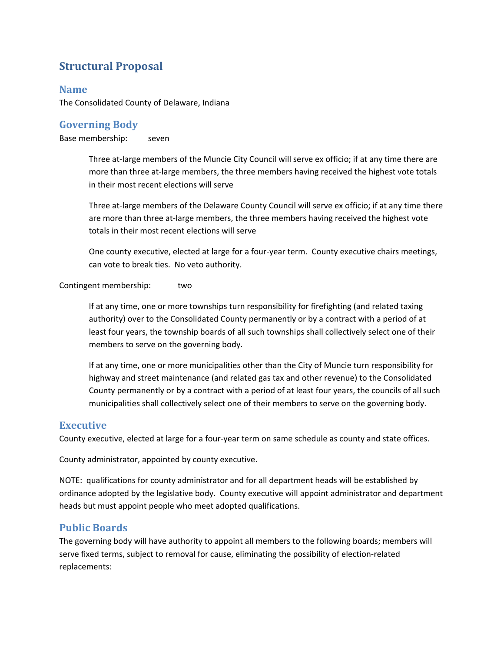# **Structural Proposal**

# **Name**

The Consolidated County of Delaware, Indiana

# **Governing Body**

Base membership: seven

Three at-large members of the Muncie City Council will serve ex officio; if at any time there are more than three at-large members, the three members having received the highest vote totals in their most recent elections will serve

Three at-large members of the Delaware County Council will serve ex officio; if at any time there are more than three at-large members, the three members having received the highest vote totals in their most recent elections will serve

One county executive, elected at large for a four‐year term. County executive chairs meetings, can vote to break ties. No veto authority.

#### Contingent membership: two

If at any time, one or more townships turn responsibility for firefighting (and related taxing authority) over to the Consolidated County permanently or by a contract with a period of at least four years, the township boards of all such townships shall collectively select one of their members to serve on the governing body.

If at any time, one or more municipalities other than the City of Muncie turn responsibility for highway and street maintenance (and related gas tax and other revenue) to the Consolidated County permanently or by a contract with a period of at least four years, the councils of all such municipalities shall collectively select one of their members to serve on the governing body.

#### **Executive**

County executive, elected at large for a four‐year term on same schedule as county and state offices.

County administrator, appointed by county executive.

NOTE: qualifications for county administrator and for all department heads will be established by ordinance adopted by the legislative body. County executive will appoint administrator and department heads but must appoint people who meet adopted qualifications.

### **Public Boards**

The governing body will have authority to appoint all members to the following boards; members will serve fixed terms, subject to removal for cause, eliminating the possibility of election‐related replacements: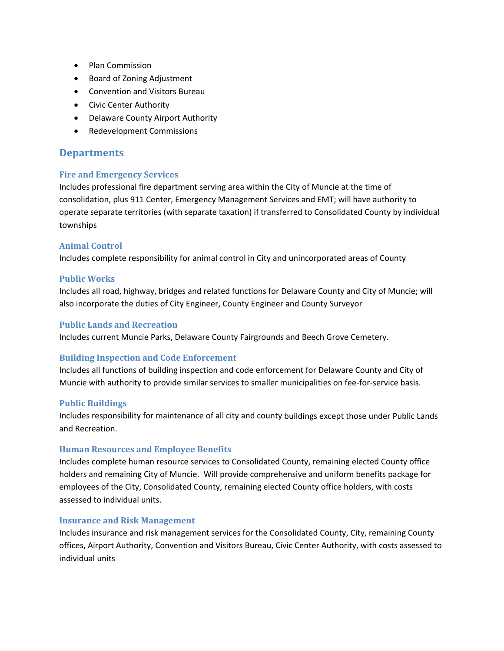- Plan Commission
- Board of Zoning Adjustment
- Convention and Visitors Bureau
- **•** Civic Center Authority
- Delaware County Airport Authority
- Redevelopment Commissions

## **Departments**

#### **Fire and Emergency Services**

Includes professional fire department serving area within the City of Muncie at the time of consolidation, plus 911 Center, Emergency Management Services and EMT; will have authority to operate separate territories (with separate taxation) if transferred to Consolidated County by individual townships

#### **Animal Control**

Includes complete responsibility for animal control in City and unincorporated areas of County

#### **Public Works**

Includes all road, highway, bridges and related functions for Delaware County and City of Muncie; will also incorporate the duties of City Engineer, County Engineer and County Surveyor

#### **Public Lands and Recreation**

Includes current Muncie Parks, Delaware County Fairgrounds and Beech Grove Cemetery.

#### **Building Inspection and Code Enforcement**

Includes all functions of building inspection and code enforcement for Delaware County and City of Muncie with authority to provide similar services to smaller municipalities on fee‐for‐service basis.

#### **Public Buildings**

Includes responsibility for maintenance of all city and county buildings except those under Public Lands and Recreation.

#### **Human Resources and Employee Benefits**

Includes complete human resource services to Consolidated County, remaining elected County office holders and remaining City of Muncie. Will provide comprehensive and uniform benefits package for employees of the City, Consolidated County, remaining elected County office holders, with costs assessed to individual units.

#### **Insurance and Risk Management**

Includes insurance and risk management services for the Consolidated County, City, remaining County offices, Airport Authority, Convention and Visitors Bureau, Civic Center Authority, with costs assessed to individual units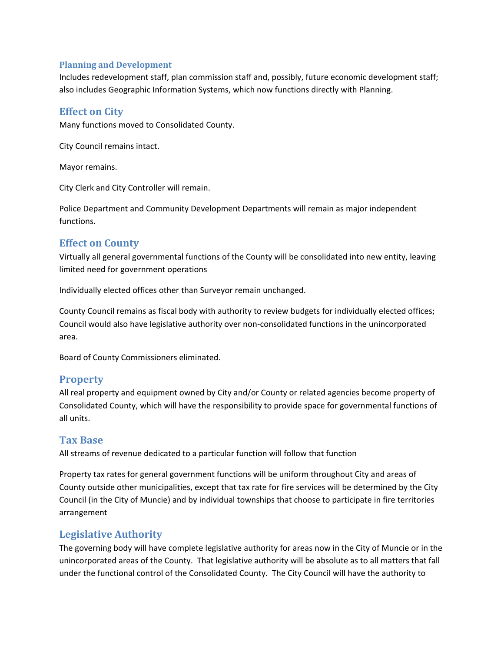#### **Planning and Development**

Includes redevelopment staff, plan commission staff and, possibly, future economic development staff; also includes Geographic Information Systems, which now functions directly with Planning.

### **Effect on City**

Many functions moved to Consolidated County.

City Council remains intact.

Mayor remains.

City Clerk and City Controller will remain.

Police Department and Community Development Departments will remain as major independent functions.

## **Effect on County**

Virtually all general governmental functions of the County will be consolidated into new entity, leaving limited need for government operations

Individually elected offices other than Surveyor remain unchanged.

County Council remains as fiscal body with authority to review budgets for individually elected offices; Council would also have legislative authority over non‐consolidated functions in the unincorporated area.

Board of County Commissioners eliminated.

### **Property**

All real property and equipment owned by City and/or County or related agencies become property of Consolidated County, which will have the responsibility to provide space for governmental functions of all units.

# **Tax Base**

All streams of revenue dedicated to a particular function will follow that function

Property tax rates for general government functions will be uniform throughout City and areas of County outside other municipalities, except that tax rate for fire services will be determined by the City Council (in the City of Muncie) and by individual townships that choose to participate in fire territories arrangement

# **Legislative Authority**

The governing body will have complete legislative authority for areas now in the City of Muncie or in the unincorporated areas of the County. That legislative authority will be absolute as to all matters that fall under the functional control of the Consolidated County. The City Council will have the authority to